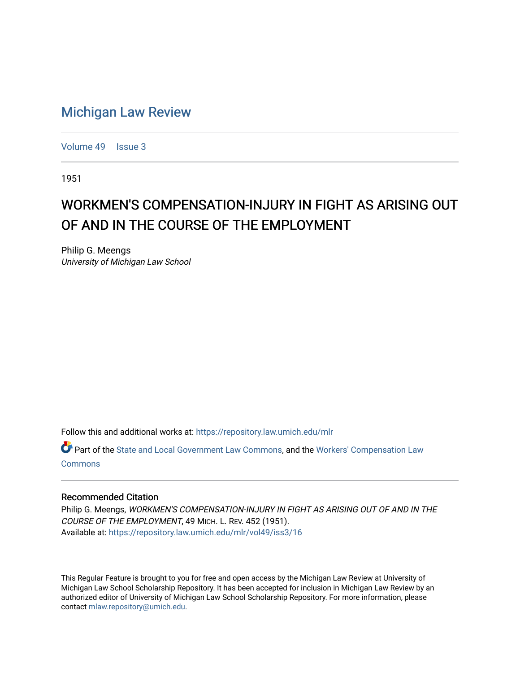## [Michigan Law Review](https://repository.law.umich.edu/mlr)

[Volume 49](https://repository.law.umich.edu/mlr/vol49) | [Issue 3](https://repository.law.umich.edu/mlr/vol49/iss3)

1951

## WORKMEN'S COMPENSATION-INJURY IN FIGHT AS ARISING OUT OF AND IN THE COURSE OF THE EMPLOYMENT

Philip G. Meengs University of Michigan Law School

Follow this and additional works at: [https://repository.law.umich.edu/mlr](https://repository.law.umich.edu/mlr?utm_source=repository.law.umich.edu%2Fmlr%2Fvol49%2Fiss3%2F16&utm_medium=PDF&utm_campaign=PDFCoverPages) 

Part of the [State and Local Government Law Commons](http://network.bepress.com/hgg/discipline/879?utm_source=repository.law.umich.edu%2Fmlr%2Fvol49%2Fiss3%2F16&utm_medium=PDF&utm_campaign=PDFCoverPages), and the [Workers' Compensation Law](http://network.bepress.com/hgg/discipline/889?utm_source=repository.law.umich.edu%2Fmlr%2Fvol49%2Fiss3%2F16&utm_medium=PDF&utm_campaign=PDFCoverPages)  [Commons](http://network.bepress.com/hgg/discipline/889?utm_source=repository.law.umich.edu%2Fmlr%2Fvol49%2Fiss3%2F16&utm_medium=PDF&utm_campaign=PDFCoverPages)

## Recommended Citation

Philip G. Meengs, WORKMEN'S COMPENSATION-INJURY IN FIGHT AS ARISING OUT OF AND IN THE COURSE OF THE EMPLOYMENT, 49 MICH. L. REV. 452 (1951). Available at: [https://repository.law.umich.edu/mlr/vol49/iss3/16](https://repository.law.umich.edu/mlr/vol49/iss3/16?utm_source=repository.law.umich.edu%2Fmlr%2Fvol49%2Fiss3%2F16&utm_medium=PDF&utm_campaign=PDFCoverPages) 

This Regular Feature is brought to you for free and open access by the Michigan Law Review at University of Michigan Law School Scholarship Repository. It has been accepted for inclusion in Michigan Law Review by an authorized editor of University of Michigan Law School Scholarship Repository. For more information, please contact [mlaw.repository@umich.edu](mailto:mlaw.repository@umich.edu).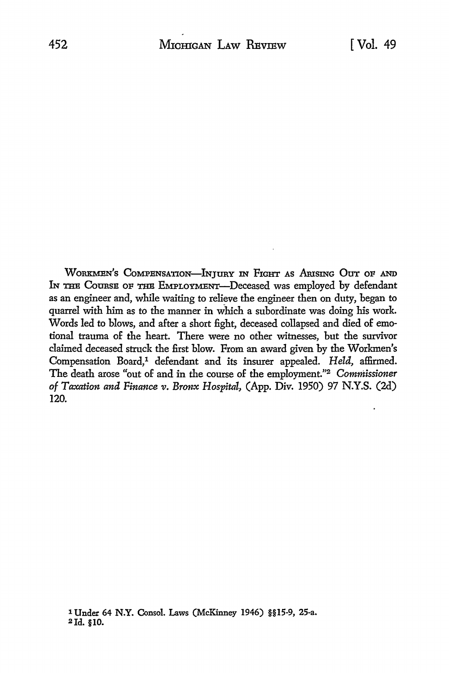WORKMEN'S COMPENSATION-INJURY IN FIGHT AS ARISING OUT OF AND IN THE COURSE OF THE EMPLOYMENT-Deceased was employed by defendant as an engineer and, while waiting *to* relieve the engineer then on duty, began *to*  quarrel with him as to the manner in which a subordinate was doing his work. Words led to blows, and after a short fight, deceased collapsed and died of emotional trauma of the heart. There were no other witnesses, but the survivor claimed deceased struck the first blow. From an award given by the Workmen's Compensation Board,<sup>1</sup> defendant and its insurer appealed. *Held*, affirmed. The death arose "out of and in the course of the employment."2 *Commissioner of Taxation and Finance v. Bronx Hospital,* (App. Div. 1950) 97 N.Y.S. (2d) 120.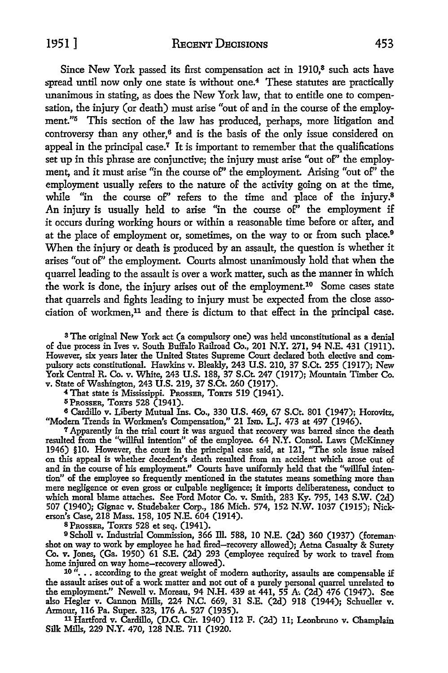Since New York passed its first compensation act in 1910,<sup>8</sup> such acts have spread until now only one state is without one.<sup>4</sup> These statutes are practically unanimous in stating, as does the New York law, that to entitle one to compensation, the injury (or death) must arise "out of and in the course of the employment."5 This section of the law has produced, perhaps, more litigation and controversy than any other,6 and is the basis of the only issue considered on appeal in the principal case.<sup> $7$ </sup> It is important to remember that the qualifications set up in this phrase are conjunctive; the injury must arise "out of" the employment, and it must arise "in the course of'' the employment. Arising "out of'' the employment usually refers to the nature of the activity going on at the time, while "in the course of" refers to the time and place of the injury.<sup>8</sup> An injury is usually held to arise "in the course  $of''$  the employment if it occurs during working hours or within a reasonable time before or after, and at the place of employment or, sometimes, on the way to or from such place.<sup>9</sup> When the injury or death is produced by an assault, the question is whether it arises "out of'' the employment. Courts almost unanimously hold that when the quarrel leading to the assault is over a work matter, such as the manner in which the work is done, the injury arises out of the employment.10 Some cases state that quarrels and fights leading to injury must be expected from the close association of workmen, 11 and there is dictum to that effect in the principal case.

<sup>3</sup> The original New York act (a compulsory one) was held unconstitutional as a denial of due process in Ives v. South Buffalo Railroad Co., 201 N.Y. 271, 94 N.E. 431 (1911). However, six years later the United States Supreme Court declared both elective and compulsory acts constitutional. Hawkins v. Bleakly, 243 U.S. 210, 37 S.Ct. 255 (1917); New York Central R. Co. v. White, 243 U.S. 188, 37 S.Ct. 247 (1917); Mountain Timber Co. v. State of Washington, 243 U.S. 219, 37 S.Ct. 260 (1917).

<sup>4</sup>That state is Mississippi. PnossER, TORTS 519 (1941).

 $5$  Prosser, Torts 528 (1941).

6 Cardillo v. Liberty Mutual Ins. Co., 330 U.S. 469, 67 S.Ct. 801 (1947); Horovitz, "Modern Trends in Workmen's Compensation," 21 hm. L.J. 473 at 497 (1946).

<sup>7</sup>Apparently in the trial court it was argued that recovery was barred since the death resulted from the "willful intention" of the employee. 64 N.Y. Consol. Laws (McKinney 1946) §IO. However, the court in the principal case said, at 121, ''The sole issue raised on this appeal is whether decedent's death resulted from an accident which arose out of and in the course of his employment." Courts have uniformly held that the "willful intention" of the employee so frequently mentioned in the statutes means something more than mere negligence or even gross or culpable negligence; it imports deliberateness, conduct to which moral blame attaches. See Ford Motor Co. v. Smith, 283 Ky. 795, 143 S.W. (2d) 507 (1940); Gignac v. Studebaker Corp., 186 Mich. 574, 152 N.W. 1037 (1915); Nickerson's Case, 218 Mass. 158, 105 N.E. 604 (1914).

BPRossER, ToRTS 528 et seq. (1941).

<sup>9</sup>Scholl v. Industrial Commission, 366 ID. 588, IO N.E. (2d) 360 (1937) (foreman, shot on way to work by employee he had fired-recovery allowed); Aetna Casualty & Surety Co. v. Jones, (Ga. 1950) 61 S.E. (2d) 293 (employee required by work to travel from home injured on way home-recovery allowed).

 $10$  "... according to the great weight of modern authority, assaults are compensable if the assault arises out of a work matter and not out of a purely personal quarrel unrelated to the employment." Newell v. Moreau, 94 N.H. 439 at 441, 55 A. (2d) 476 (1947). See also Hegler v. Cannon Mills, 224 N.C. 669, 31 S.E. (2d) 918 (1944); Schueller v. Armour, 116 Pa. Super. 323, 176 A. 527 (1935),

11 Hartford v. Cardillo, (D.C. Cir. 1940) 112 F. (2d) 11; Leonbruno v. Champlain Silk Mills, 229 **N.Y.** 470, 128 N.E. 711 (1920.